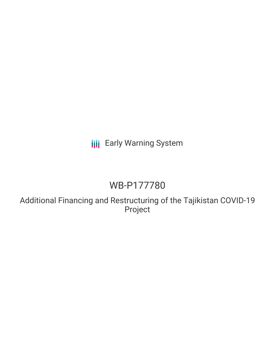# **III** Early Warning System

# WB-P177780

Additional Financing and Restructuring of the Tajikistan COVID-19 Project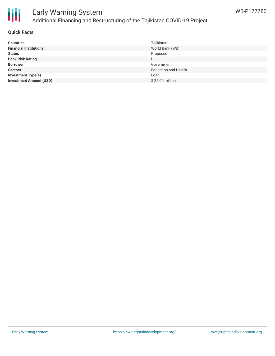

### Early Warning System Additional Financing and Restructuring of the Tajikistan COVID-19 Project

### **Quick Facts**

| <b>Countries</b>               | Tajikistan                  |
|--------------------------------|-----------------------------|
| <b>Financial Institutions</b>  | World Bank (WB)             |
| <b>Status</b>                  | Proposed                    |
| <b>Bank Risk Rating</b>        |                             |
| <b>Borrower</b>                | Government                  |
| <b>Sectors</b>                 | <b>Education and Health</b> |
| <b>Investment Type(s)</b>      | Loan                        |
| <b>Investment Amount (USD)</b> | \$25.00 million             |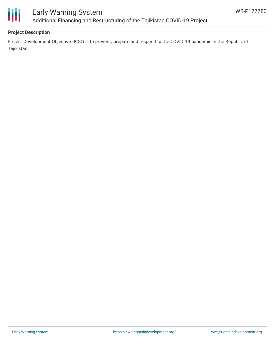

## Early Warning System Additional Financing and Restructuring of the Tajikistan COVID-19 Project

### **Project Description**

Project Development Objective (PDO) is to prevent, prepare and respond to the COVID-19 pandemic in the Republic of Tajikistan.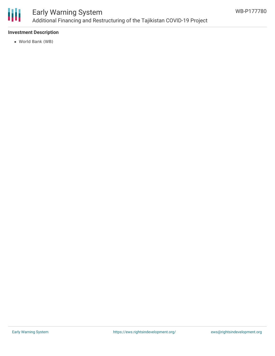

## Early Warning System Additional Financing and Restructuring of the Tajikistan COVID-19 Project

### **Investment Description**

World Bank (WB)